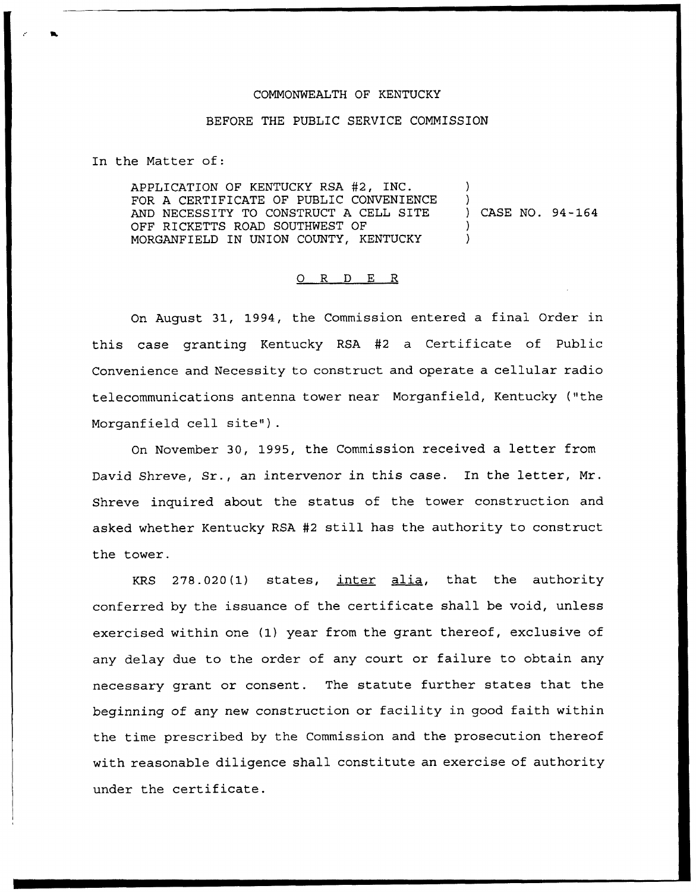## COMMONWEALTH OF KENTUCKY

## BEFORE THE PUBLIC SERVICE COMMISSION

In the Matter of:

APPLICATION OF KENTUCKY RSA #2, INC. FOR A CERTIFICATE OF PUBLIC CONVENIENCE AND NECESSITY TO CONSTRUCT A CELL SITE OFF RICKETTS ROAD SOUTHWEST OF MORGANFIELD IN UNION COUNTY, KENTUCKY ) ) ) CASE NO. 94-164 ) )

## 0 R <sup>D</sup> E R

On August 31, 1994, the Commission entered a final Order in this case granting Kentucky RSA #2 a Certificate of Public Convenience and Necessity to construct and operate a cellular radio telecommunications antenna tower near Morganfield, Kentucky {"the Morganfield cell site").

On November 30, 1995, the Commission received a letter from David Shreve, Sr., an intervenor in this case. In the letter, Mr. Shreve inquired about the status of the tower construction and asked whether Kentucky RSA #2 still has the authority to construct the tower.

KRS 278.020{1) states, inter alia, that the authority conferred by the issuance of the certificate shall be void, unless exercised within one {1) year from the grant thereof, exclusive of any delay due to the order of any court or failure to obtain any necessary grant or consent. The statute further states that the beginning of any new construction or facility in good faith within the time prescribed by the Commission and the prosecution thereof with reasonable diligence shall constitute an exercise of authority under the certificate.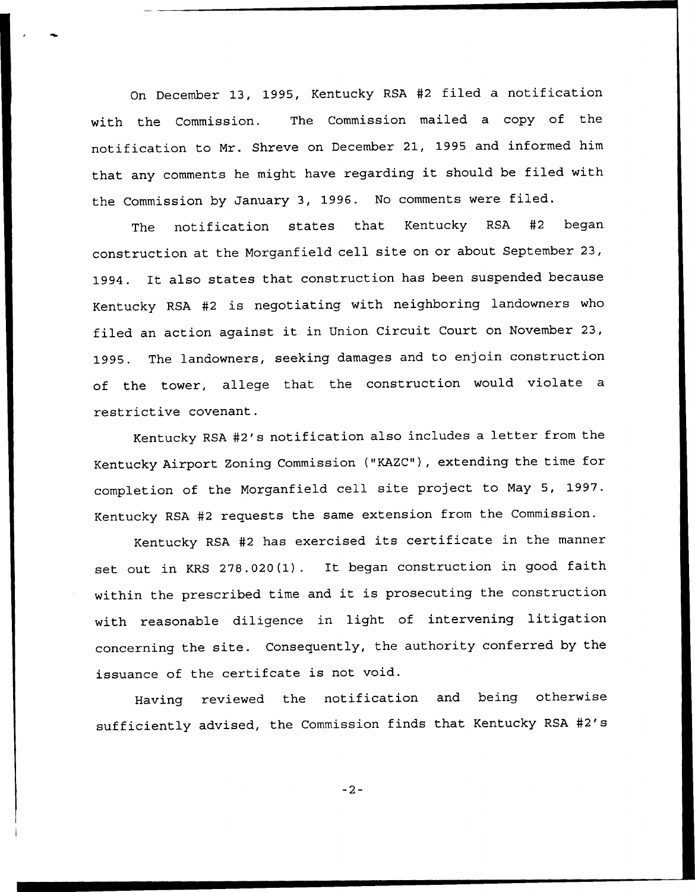On December 13, 1995, Kentucky RSA #2 filed a notification with the Commission. The Commission mailed a copy of the notification to Mr. Shreve on December 21, 1995 and informed him that any comments he might have regarding it should be filed with the Commission by January 3, 1996. No comments were filed.

The notification states that Kentucky RSA #2 began construction at the Morganfield cell site on or about September 23, 1994. It also states that construction has been suspended because Kentucky RSA #2 is negotiating with neighboring landowners who filed an action against it in Union Circuit Court on November 23, 1995. The landowners, seeking damages and to enjoin construction of the tower, allege that the construction would violate <sup>a</sup> restrictive covenant.

Kentucky RSA #2's notification also includes a letter from the Kentucky Airport Zoning Commission ("KAZC"), extending the time for completion of the Morganfield cell site project to May 5, 1997. Kentucky RSA #2 requests the same extension from the Commission.

Kentucky RSA #2 has exercised its certificate in the manner set out in KRS 27S.020(1). It began construction in good faith within the prescribed time and it is prosecuting the construction with reasonable diligence in light of intervening litigation concerning the site. Consequently, the authority conferred by the issuance of the certifcate is not void.

Having reviewed the notification and being otherwise sufficiently advised, the Commission finds that Kentucky RSA #2's

 $-2-$